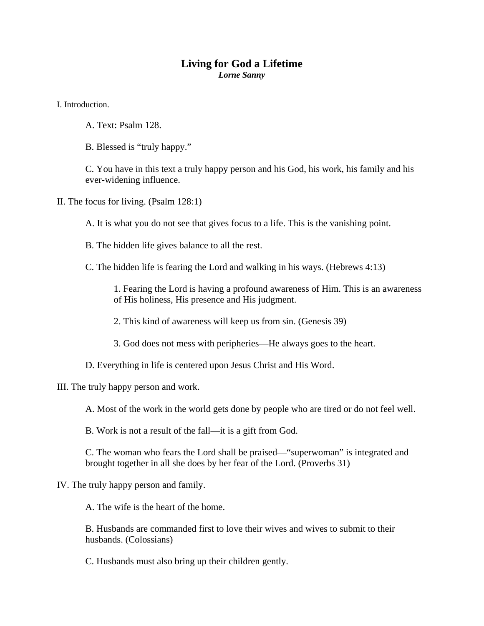## **Living for God a Lifetime**  *Lorne Sanny*

I. Introduction.

A. Text: Psalm 128.

B. Blessed is "truly happy."

C. You have in this text a truly happy person and his God, his work, his family and his ever-widening influence.

II. The focus for living. (Psalm 128:1)

A. It is what you do not see that gives focus to a life. This is the vanishing point.

B. The hidden life gives balance to all the rest.

C. The hidden life is fearing the Lord and walking in his ways. (Hebrews 4:13)

1. Fearing the Lord is having a profound awareness of Him. This is an awareness of His holiness, His presence and His judgment.

2. This kind of awareness will keep us from sin. (Genesis 39)

3. God does not mess with peripheries—He always goes to the heart.

D. Everything in life is centered upon Jesus Christ and His Word.

III. The truly happy person and work.

A. Most of the work in the world gets done by people who are tired or do not feel well.

B. Work is not a result of the fall—it is a gift from God.

C. The woman who fears the Lord shall be praised—"superwoman" is integrated and brought together in all she does by her fear of the Lord. (Proverbs 31)

IV. The truly happy person and family.

A. The wife is the heart of the home.

B. Husbands are commanded first to love their wives and wives to submit to their husbands. (Colossians)

C. Husbands must also bring up their children gently.